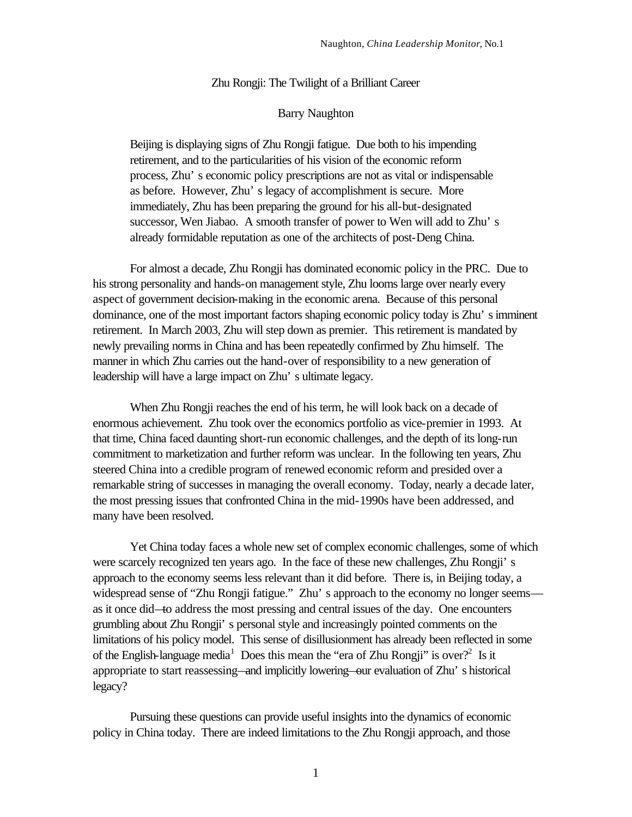## Zhu Rongji: The Twilight of a Brilliant Career

### Barry Naughton

Beijing is displaying signs of Zhu Rongji fatigue. Due both to his impending retirement, and to the particularities of his vision of the economic reform process, Zhu' s economic policy prescriptions are not as vital or indispensable as before. However, Zhu' s legacy of accomplishment is secure. More immediately, Zhu has been preparing the ground for his all-but-designated successor, Wen Jiabao. A smooth transfer of power to Wen will add to Zhu' s already formidable reputation as one of the architects of post-Deng China.

For almost a decade, Zhu Rongji has dominated economic policy in the PRC. Due to his strong personality and hands-on management style, Zhu looms large over nearly every aspect of government decision-making in the economic arena. Because of this personal dominance, one of the most important factors shaping economic policy today is Zhu' s imminent retirement. In March 2003, Zhu will step down as premier. This retirement is mandated by newly prevailing norms in China and has been repeatedly confirmed by Zhu himself. The manner in which Zhu carries out the hand-over of responsibility to a new generation of leadership will have a large impact on Zhu' s ultimate legacy.

When Zhu Rongji reaches the end of his term, he will look back on a decade of enormous achievement. Zhu took over the economics portfolio as vice-premier in 1993. At that time, China faced daunting short-run economic challenges, and the depth of its long-run commitment to marketization and further reform was unclear. In the following ten years, Zhu steered China into a credible program of renewed economic reform and presided over a remarkable string of successes in managing the overall economy. Today, nearly a decade later, the most pressing issues that confronted China in the mid-1990s have been addressed, and many have been resolved.

Yet China today faces a whole new set of complex economic challenges, some of which were scarcely recognized ten years ago. In the face of these new challenges, Zhu Rongji' s approach to the economy seems less relevant than it did before. There is, in Beijing today, a widespread sense of "Zhu Rongji fatigue." Zhu' s approach to the economy no longer seems as it once did—to address the most pressing and central issues of the day. One encounters grumbling about Zhu Rongji' s personal style and increasingly pointed comments on the limitations of his policy model. This sense of disillusionment has already been reflected in some of the English-language media<sup>1</sup> Does this mean the "era of Zhu Rongji" is over?<sup>2</sup> Is it appropriate to start reassessing—and implicitly lowering—our evaluation of Zhu' s historical legacy?

Pursuing these questions can provide useful insights into the dynamics of economic policy in China today. There are indeed limitations to the Zhu Rongji approach, and those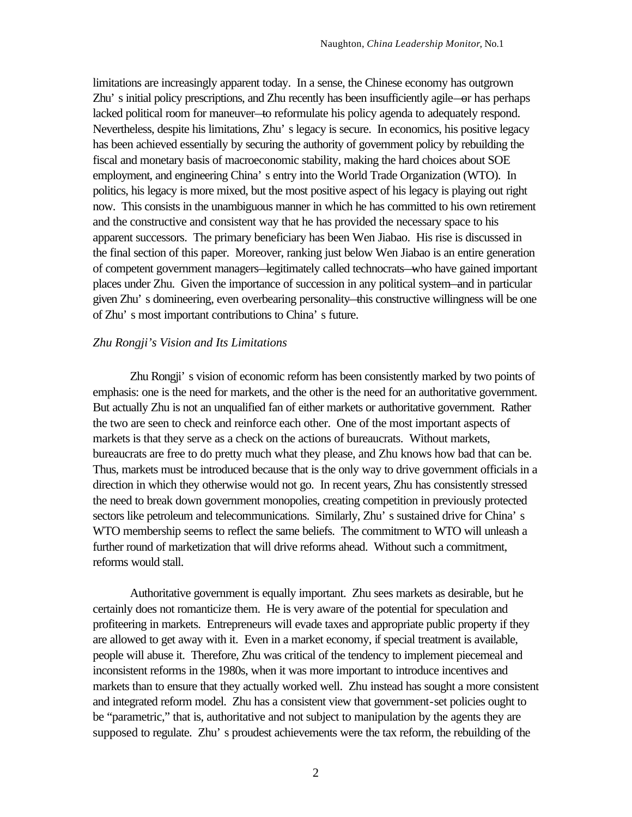limitations are increasingly apparent today. In a sense, the Chinese economy has outgrown Zhu' s initial policy prescriptions, and Zhu recently has been insufficiently agile—or has perhaps lacked political room for maneuver—to reformulate his policy agenda to adequately respond. Nevertheless, despite his limitations, Zhu' s legacy is secure. In economics, his positive legacy has been achieved essentially by securing the authority of government policy by rebuilding the fiscal and monetary basis of macroeconomic stability, making the hard choices about SOE employment, and engineering China' s entry into the World Trade Organization (WTO). In politics, his legacy is more mixed, but the most positive aspect of his legacy is playing out right now. This consists in the unambiguous manner in which he has committed to his own retirement and the constructive and consistent way that he has provided the necessary space to his apparent successors. The primary beneficiary has been Wen Jiabao. His rise is discussed in the final section of this paper. Moreover, ranking just below Wen Jiabao is an entire generation of competent government managers—legitimately called technocrats—who have gained important places under Zhu. Given the importance of succession in any political system—and in particular given Zhu' s domineering, even overbearing personality—this constructive willingness will be one of Zhu' s most important contributions to China' s future.

#### *Zhu Rongji's Vision and Its Limitations*

Zhu Rongji' s vision of economic reform has been consistently marked by two points of emphasis: one is the need for markets, and the other is the need for an authoritative government. But actually Zhu is not an unqualified fan of either markets or authoritative government. Rather the two are seen to check and reinforce each other. One of the most important aspects of markets is that they serve as a check on the actions of bureaucrats. Without markets, bureaucrats are free to do pretty much what they please, and Zhu knows how bad that can be. Thus, markets must be introduced because that is the only way to drive government officials in a direction in which they otherwise would not go. In recent years, Zhu has consistently stressed the need to break down government monopolies, creating competition in previously protected sectors like petroleum and telecommunications. Similarly, Zhu's sustained drive for China's WTO membership seems to reflect the same beliefs. The commitment to WTO will unleash a further round of marketization that will drive reforms ahead. Without such a commitment, reforms would stall.

Authoritative government is equally important. Zhu sees markets as desirable, but he certainly does not romanticize them. He is very aware of the potential for speculation and profiteering in markets. Entrepreneurs will evade taxes and appropriate public property if they are allowed to get away with it. Even in a market economy, if special treatment is available, people will abuse it. Therefore, Zhu was critical of the tendency to implement piecemeal and inconsistent reforms in the 1980s, when it was more important to introduce incentives and markets than to ensure that they actually worked well. Zhu instead has sought a more consistent and integrated reform model. Zhu has a consistent view that government-set policies ought to be "parametric," that is, authoritative and not subject to manipulation by the agents they are supposed to regulate. Zhu' s proudest achievements were the tax reform, the rebuilding of the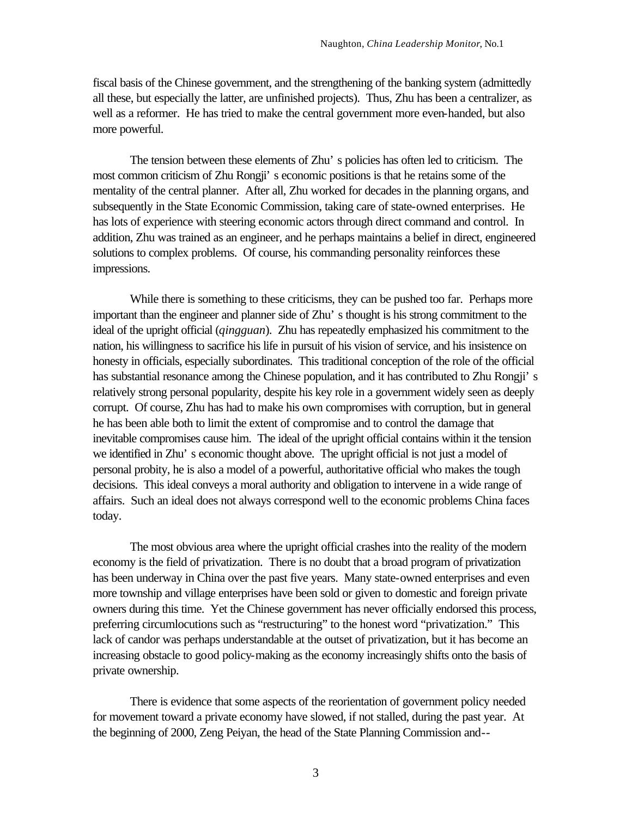fiscal basis of the Chinese government, and the strengthening of the banking system (admittedly all these, but especially the latter, are unfinished projects). Thus, Zhu has been a centralizer, as well as a reformer. He has tried to make the central government more even-handed, but also more powerful.

The tension between these elements of Zhu' s policies has often led to criticism. The most common criticism of Zhu Rongji' s economic positions is that he retains some of the mentality of the central planner. After all, Zhu worked for decades in the planning organs, and subsequently in the State Economic Commission, taking care of state-owned enterprises. He has lots of experience with steering economic actors through direct command and control. In addition, Zhu was trained as an engineer, and he perhaps maintains a belief in direct, engineered solutions to complex problems. Of course, his commanding personality reinforces these impressions.

While there is something to these criticisms, they can be pushed too far. Perhaps more important than the engineer and planner side of Zhu' s thought is his strong commitment to the ideal of the upright official (*qingguan*). Zhu has repeatedly emphasized his commitment to the nation, his willingness to sacrifice his life in pursuit of his vision of service, and his insistence on honesty in officials, especially subordinates. This traditional conception of the role of the official has substantial resonance among the Chinese population, and it has contributed to Zhu Rongji' s relatively strong personal popularity, despite his key role in a government widely seen as deeply corrupt. Of course, Zhu has had to make his own compromises with corruption, but in general he has been able both to limit the extent of compromise and to control the damage that inevitable compromises cause him. The ideal of the upright official contains within it the tension we identified in Zhu' s economic thought above. The upright official is not just a model of personal probity, he is also a model of a powerful, authoritative official who makes the tough decisions. This ideal conveys a moral authority and obligation to intervene in a wide range of affairs. Such an ideal does not always correspond well to the economic problems China faces today.

The most obvious area where the upright official crashes into the reality of the modern economy is the field of privatization. There is no doubt that a broad program of privatization has been underway in China over the past five years. Many state-owned enterprises and even more township and village enterprises have been sold or given to domestic and foreign private owners during this time. Yet the Chinese government has never officially endorsed this process, preferring circumlocutions such as "restructuring" to the honest word "privatization." This lack of candor was perhaps understandable at the outset of privatization, but it has become an increasing obstacle to good policy-making as the economy increasingly shifts onto the basis of private ownership.

There is evidence that some aspects of the reorientation of government policy needed for movement toward a private economy have slowed, if not stalled, during the past year. At the beginning of 2000, Zeng Peiyan, the head of the State Planning Commission and--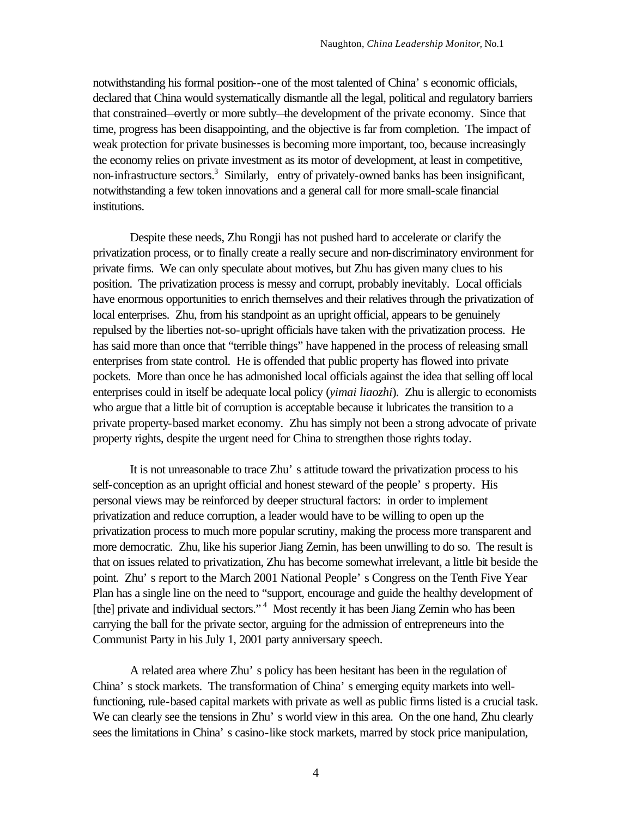notwithstanding his formal position--one of the most talented of China' s economic officials, declared that China would systematically dismantle all the legal, political and regulatory barriers that constrained—overtly or more subtly—the development of the private economy. Since that time, progress has been disappointing, and the objective is far from completion. The impact of weak protection for private businesses is becoming more important, too, because increasingly the economy relies on private investment as its motor of development, at least in competitive, non-infrastructure sectors.<sup>3</sup> Similarly, entry of privately-owned banks has been insignificant, notwithstanding a few token innovations and a general call for more small-scale financial institutions.

Despite these needs, Zhu Rongji has not pushed hard to accelerate or clarify the privatization process, or to finally create a really secure and non-discriminatory environment for private firms. We can only speculate about motives, but Zhu has given many clues to his position. The privatization process is messy and corrupt, probably inevitably. Local officials have enormous opportunities to enrich themselves and their relatives through the privatization of local enterprises. Zhu, from his standpoint as an upright official, appears to be genuinely repulsed by the liberties not-so-upright officials have taken with the privatization process. He has said more than once that "terrible things" have happened in the process of releasing small enterprises from state control. He is offended that public property has flowed into private pockets. More than once he has admonished local officials against the idea that selling off local enterprises could in itself be adequate local policy (*yimai liaozhi*). Zhu is allergic to economists who argue that a little bit of corruption is acceptable because it lubricates the transition to a private property-based market economy. Zhu has simply not been a strong advocate of private property rights, despite the urgent need for China to strengthen those rights today.

It is not unreasonable to trace Zhu' s attitude toward the privatization process to his self-conception as an upright official and honest steward of the people' s property. His personal views may be reinforced by deeper structural factors: in order to implement privatization and reduce corruption, a leader would have to be willing to open up the privatization process to much more popular scrutiny, making the process more transparent and more democratic. Zhu, like his superior Jiang Zemin, has been unwilling to do so. The result is that on issues related to privatization, Zhu has become somewhat irrelevant, a little bit beside the point. Zhu' s report to the March 2001 National People' s Congress on the Tenth Five Year Plan has a single line on the need to "support, encourage and guide the healthy development of [the] private and individual sectors."<sup>4</sup> Most recently it has been Jiang Zemin who has been carrying the ball for the private sector, arguing for the admission of entrepreneurs into the Communist Party in his July 1, 2001 party anniversary speech.

A related area where Zhu' s policy has been hesitant has been in the regulation of China' s stock markets. The transformation of China' s emerging equity markets into wellfunctioning, rule-based capital markets with private as well as public firms listed is a crucial task. We can clearly see the tensions in Zhu's world view in this area. On the one hand, Zhu clearly sees the limitations in China' s casino-like stock markets, marred by stock price manipulation,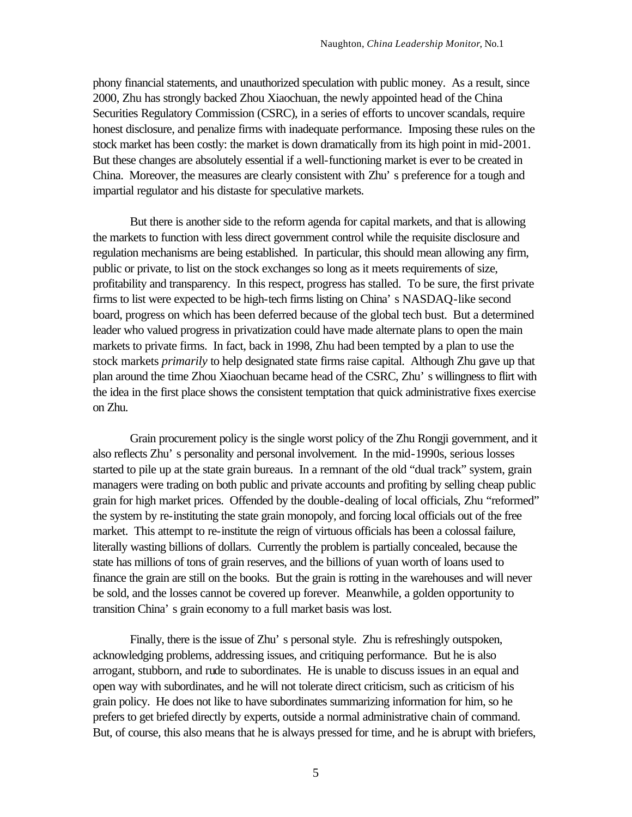phony financial statements, and unauthorized speculation with public money. As a result, since 2000, Zhu has strongly backed Zhou Xiaochuan, the newly appointed head of the China Securities Regulatory Commission (CSRC), in a series of efforts to uncover scandals, require honest disclosure, and penalize firms with inadequate performance. Imposing these rules on the stock market has been costly: the market is down dramatically from its high point in mid-2001. But these changes are absolutely essential if a well-functioning market is ever to be created in China. Moreover, the measures are clearly consistent with Zhu' s preference for a tough and impartial regulator and his distaste for speculative markets.

But there is another side to the reform agenda for capital markets, and that is allowing the markets to function with less direct government control while the requisite disclosure and regulation mechanisms are being established. In particular, this should mean allowing any firm, public or private, to list on the stock exchanges so long as it meets requirements of size, profitability and transparency. In this respect, progress has stalled. To be sure, the first private firms to list were expected to be high-tech firms listing on China' s NASDAQ-like second board, progress on which has been deferred because of the global tech bust. But a determined leader who valued progress in privatization could have made alternate plans to open the main markets to private firms. In fact, back in 1998, Zhu had been tempted by a plan to use the stock markets *primarily* to help designated state firms raise capital. Although Zhu gave up that plan around the time Zhou Xiaochuan became head of the CSRC, Zhu' s willingness to flirt with the idea in the first place shows the consistent temptation that quick administrative fixes exercise on Zhu.

Grain procurement policy is the single worst policy of the Zhu Rongji government, and it also reflects Zhu' s personality and personal involvement. In the mid-1990s, serious losses started to pile up at the state grain bureaus. In a remnant of the old "dual track" system, grain managers were trading on both public and private accounts and profiting by selling cheap public grain for high market prices. Offended by the double-dealing of local officials, Zhu "reformed" the system by re-instituting the state grain monopoly, and forcing local officials out of the free market. This attempt to re-institute the reign of virtuous officials has been a colossal failure, literally wasting billions of dollars. Currently the problem is partially concealed, because the state has millions of tons of grain reserves, and the billions of yuan worth of loans used to finance the grain are still on the books. But the grain is rotting in the warehouses and will never be sold, and the losses cannot be covered up forever. Meanwhile, a golden opportunity to transition China' s grain economy to a full market basis was lost.

Finally, there is the issue of Zhu' s personal style. Zhu is refreshingly outspoken, acknowledging problems, addressing issues, and critiquing performance. But he is also arrogant, stubborn, and rude to subordinates. He is unable to discuss issues in an equal and open way with subordinates, and he will not tolerate direct criticism, such as criticism of his grain policy. He does not like to have subordinates summarizing information for him, so he prefers to get briefed directly by experts, outside a normal administrative chain of command. But, of course, this also means that he is always pressed for time, and he is abrupt with briefers,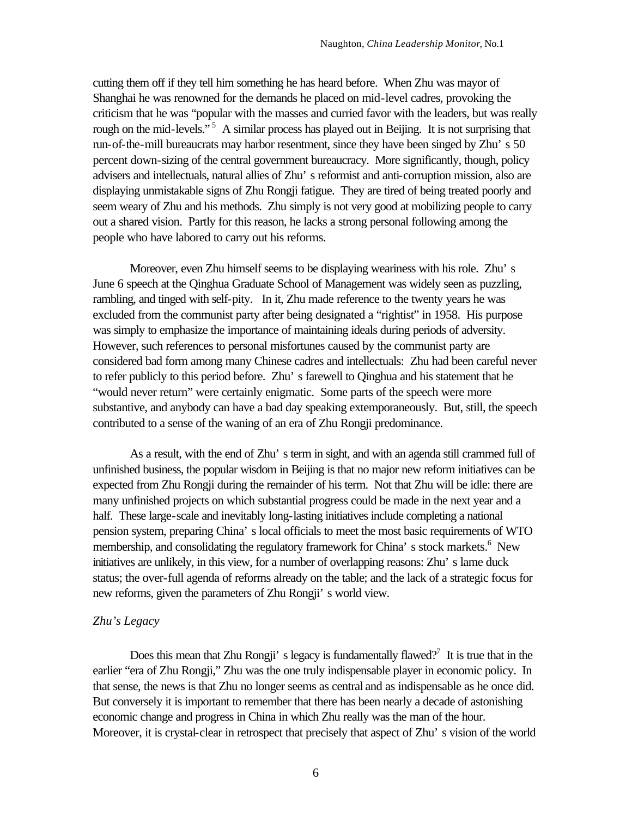cutting them off if they tell him something he has heard before. When Zhu was mayor of Shanghai he was renowned for the demands he placed on mid-level cadres, provoking the criticism that he was "popular with the masses and curried favor with the leaders, but was really rough on the mid-levels."<sup>5</sup> A similar process has played out in Beijing. It is not surprising that run-of-the-mill bureaucrats may harbor resentment, since they have been singed by Zhu' s 50 percent down-sizing of the central government bureaucracy. More significantly, though, policy advisers and intellectuals, natural allies of Zhu' s reformist and anti-corruption mission, also are displaying unmistakable signs of Zhu Rongji fatigue. They are tired of being treated poorly and seem weary of Zhu and his methods. Zhu simply is not very good at mobilizing people to carry out a shared vision. Partly for this reason, he lacks a strong personal following among the people who have labored to carry out his reforms.

Moreover, even Zhu himself seems to be displaying weariness with his role. Zhu' s June 6 speech at the Qinghua Graduate School of Management was widely seen as puzzling, rambling, and tinged with self-pity. In it, Zhu made reference to the twenty years he was excluded from the communist party after being designated a "rightist" in 1958. His purpose was simply to emphasize the importance of maintaining ideals during periods of adversity. However, such references to personal misfortunes caused by the communist party are considered bad form among many Chinese cadres and intellectuals: Zhu had been careful never to refer publicly to this period before. Zhu' s farewell to Qinghua and his statement that he "would never return" were certainly enigmatic. Some parts of the speech were more substantive, and anybody can have a bad day speaking extemporaneously. But, still, the speech contributed to a sense of the waning of an era of Zhu Rongji predominance.

As a result, with the end of Zhu' s term in sight, and with an agenda still crammed full of unfinished business, the popular wisdom in Beijing is that no major new reform initiatives can be expected from Zhu Rongji during the remainder of his term. Not that Zhu will be idle: there are many unfinished projects on which substantial progress could be made in the next year and a half. These large-scale and inevitably long-lasting initiatives include completing a national pension system, preparing China' s local officials to meet the most basic requirements of WTO membership, and consolidating the regulatory framework for China's stock markets.<sup>6</sup> New initiatives are unlikely, in this view, for a number of overlapping reasons: Zhu' s lame duck status; the over-full agenda of reforms already on the table; and the lack of a strategic focus for new reforms, given the parameters of Zhu Rongji' s world view.

#### *Zhu's Legacy*

Does this mean that Zhu Rongji's legacy is fundamentally flawed?<sup>7</sup> It is true that in the earlier "era of Zhu Rongji," Zhu was the one truly indispensable player in economic policy. In that sense, the news is that Zhu no longer seems as central and as indispensable as he once did. But conversely it is important to remember that there has been nearly a decade of astonishing economic change and progress in China in which Zhu really was the man of the hour. Moreover, it is crystal-clear in retrospect that precisely that aspect of Zhu' s vision of the world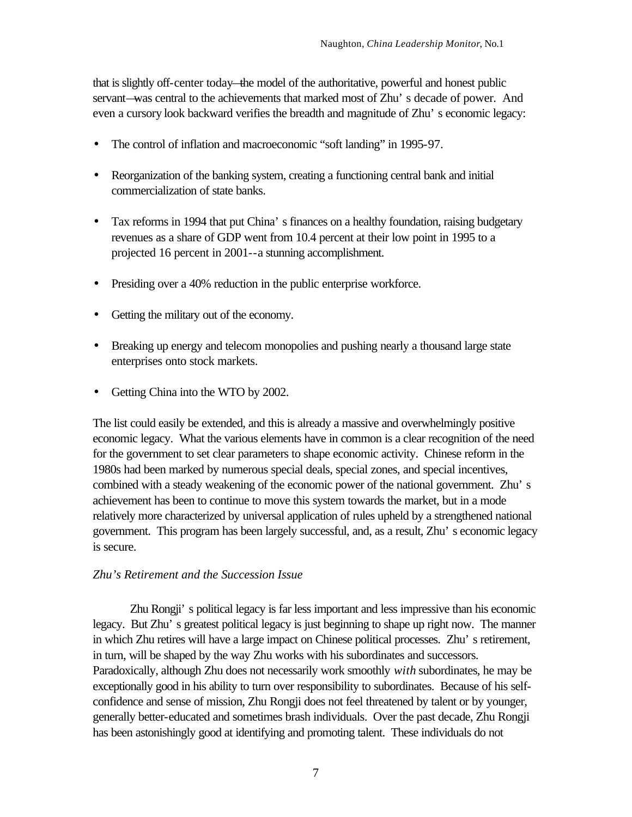that is slightly off-center today—the model of the authoritative, powerful and honest public servant—was central to the achievements that marked most of Zhu' s decade of power. And even a cursory look backward verifies the breadth and magnitude of Zhu' s economic legacy:

- The control of inflation and macroeconomic "soft landing" in 1995-97.
- Reorganization of the banking system, creating a functioning central bank and initial commercialization of state banks.
- Tax reforms in 1994 that put China's finances on a healthy foundation, raising budgetary revenues as a share of GDP went from 10.4 percent at their low point in 1995 to a projected 16 percent in 2001--a stunning accomplishment.
- Presiding over a 40% reduction in the public enterprise workforce.
- Getting the military out of the economy.
- Breaking up energy and telecom monopolies and pushing nearly a thousand large state enterprises onto stock markets.
- Getting China into the WTO by 2002.

The list could easily be extended, and this is already a massive and overwhelmingly positive economic legacy. What the various elements have in common is a clear recognition of the need for the government to set clear parameters to shape economic activity. Chinese reform in the 1980s had been marked by numerous special deals, special zones, and special incentives, combined with a steady weakening of the economic power of the national government. Zhu' s achievement has been to continue to move this system towards the market, but in a mode relatively more characterized by universal application of rules upheld by a strengthened national government. This program has been largely successful, and, as a result, Zhu' s economic legacy is secure.

# *Zhu's Retirement and the Succession Issue*

Zhu Rongji' s political legacy is far less important and less impressive than his economic legacy. But Zhu' s greatest political legacy is just beginning to shape up right now. The manner in which Zhu retires will have a large impact on Chinese political processes. Zhu' s retirement, in turn, will be shaped by the way Zhu works with his subordinates and successors. Paradoxically, although Zhu does not necessarily work smoothly *with* subordinates, he may be exceptionally good in his ability to turn over responsibility to subordinates. Because of his selfconfidence and sense of mission, Zhu Rongji does not feel threatened by talent or by younger, generally better-educated and sometimes brash individuals. Over the past decade, Zhu Rongji has been astonishingly good at identifying and promoting talent. These individuals do not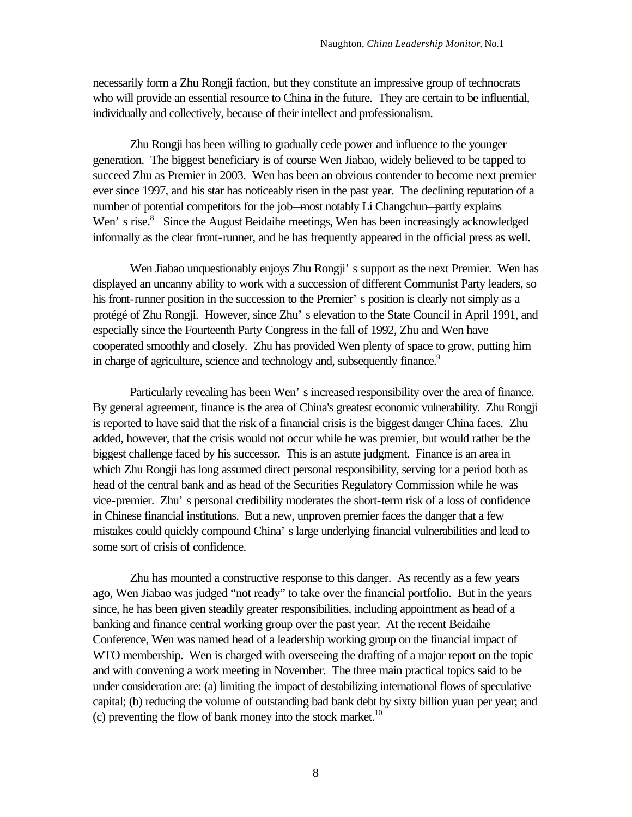necessarily form a Zhu Rongji faction, but they constitute an impressive group of technocrats who will provide an essential resource to China in the future. They are certain to be influential, individually and collectively, because of their intellect and professionalism.

Zhu Rongji has been willing to gradually cede power and influence to the younger generation. The biggest beneficiary is of course Wen Jiabao, widely believed to be tapped to succeed Zhu as Premier in 2003. Wen has been an obvious contender to become next premier ever since 1997, and his star has noticeably risen in the past year. The declining reputation of a number of potential competitors for the job—most notably Li Changchun—partly explains Wen's rise.<sup>8</sup> Since the August Beidaihe meetings, Wen has been increasingly acknowledged informally as the clear front-runner, and he has frequently appeared in the official press as well.

Wen Jiabao unquestionably enjoys Zhu Rongji' s support as the next Premier. Wen has displayed an uncanny ability to work with a succession of different Communist Party leaders, so his front-runner position in the succession to the Premier' s position is clearly not simply as a protégé of Zhu Rongji. However, since Zhu' s elevation to the State Council in April 1991, and especially since the Fourteenth Party Congress in the fall of 1992, Zhu and Wen have cooperated smoothly and closely. Zhu has provided Wen plenty of space to grow, putting him in charge of agriculture, science and technology and, subsequently finance.<sup>9</sup>

Particularly revealing has been Wen' s increased responsibility over the area of finance. By general agreement, finance is the area of China's greatest economic vulnerability. Zhu Rongji is reported to have said that the risk of a financial crisis is the biggest danger China faces. Zhu added, however, that the crisis would not occur while he was premier, but would rather be the biggest challenge faced by his successor. This is an astute judgment. Finance is an area in which Zhu Rongji has long assumed direct personal responsibility, serving for a period both as head of the central bank and as head of the Securities Regulatory Commission while he was vice-premier. Zhu' s personal credibility moderates the short-term risk of a loss of confidence in Chinese financial institutions. But a new, unproven premier faces the danger that a few mistakes could quickly compound China' s large underlying financial vulnerabilities and lead to some sort of crisis of confidence.

Zhu has mounted a constructive response to this danger. As recently as a few years ago, Wen Jiabao was judged "not ready" to take over the financial portfolio. But in the years since, he has been given steadily greater responsibilities, including appointment as head of a banking and finance central working group over the past year. At the recent Beidaihe Conference, Wen was named head of a leadership working group on the financial impact of WTO membership. Wen is charged with overseeing the drafting of a major report on the topic and with convening a work meeting in November. The three main practical topics said to be under consideration are: (a) limiting the impact of destabilizing international flows of speculative capital; (b) reducing the volume of outstanding bad bank debt by sixty billion yuan per year; and (c) preventing the flow of bank money into the stock market.<sup>10</sup>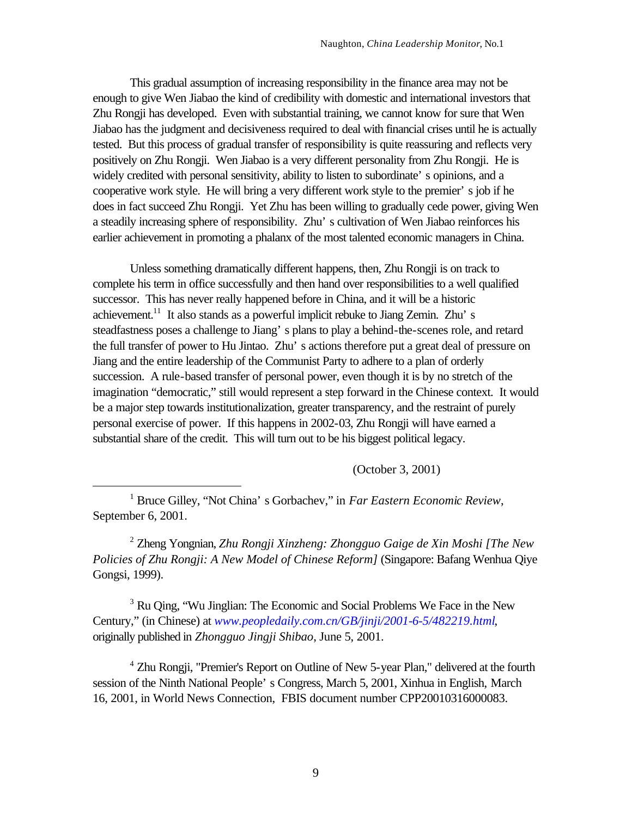This gradual assumption of increasing responsibility in the finance area may not be enough to give Wen Jiabao the kind of credibility with domestic and international investors that Zhu Rongji has developed. Even with substantial training, we cannot know for sure that Wen Jiabao has the judgment and decisiveness required to deal with financial crises until he is actually tested. But this process of gradual transfer of responsibility is quite reassuring and reflects very positively on Zhu Rongji. Wen Jiabao is a very different personality from Zhu Rongji. He is widely credited with personal sensitivity, ability to listen to subordinate' s opinions, and a cooperative work style. He will bring a very different work style to the premier' s job if he does in fact succeed Zhu Rongji. Yet Zhu has been willing to gradually cede power, giving Wen a steadily increasing sphere of responsibility. Zhu' s cultivation of Wen Jiabao reinforces his earlier achievement in promoting a phalanx of the most talented economic managers in China.

Unless something dramatically different happens, then, Zhu Rongji is on track to complete his term in office successfully and then hand over responsibilities to a well qualified successor. This has never really happened before in China, and it will be a historic achievement.<sup>11</sup> It also stands as a powerful implicit rebuke to Jiang Zemin. Zhu's steadfastness poses a challenge to Jiang' s plans to play a behind-the-scenes role, and retard the full transfer of power to Hu Jintao. Zhu' s actions therefore put a great deal of pressure on Jiang and the entire leadership of the Communist Party to adhere to a plan of orderly succession. A rule-based transfer of personal power, even though it is by no stretch of the imagination "democratic," still would represent a step forward in the Chinese context. It would be a major step towards institutionalization, greater transparency, and the restraint of purely personal exercise of power. If this happens in 2002-03, Zhu Rongji will have earned a substantial share of the credit. This will turn out to be his biggest political legacy.

(October 3, 2001)

<sup>1</sup> Bruce Gilley, "Not China' s Gorbachev," in *Far Eastern Economic Review*, September 6, 2001.

 $\overline{a}$ 

<sup>2</sup> Zheng Yongnian, *Zhu Rongji Xinzheng: Zhongguo Gaige de Xin Moshi [The New Policies of Zhu Rongji: A New Model of Chinese Reform]* (Singapore: Bafang Wenhua Qiye Gongsi, 1999).

<sup>3</sup> Ru Qing, "Wu Jinglian: The Economic and Social Problems We Face in the New Century," (in Chinese) at *www.peopledaily.com.cn/GB/jinji/2001-6-5/482219.html*, originally published in *Zhongguo Jingji Shibao*, June 5, 2001.

<sup>4</sup> Zhu Rongji, "Premier's Report on Outline of New 5-year Plan," delivered at the fourth session of the Ninth National People' s Congress, March 5, 2001, Xinhua in English, March 16, 2001, in World News Connection, FBIS document number CPP20010316000083.